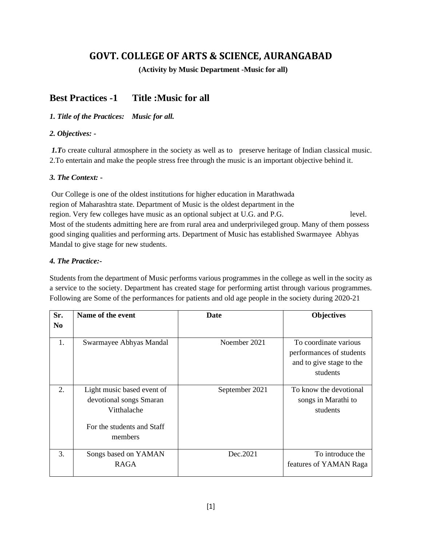# **GOVT. COLLEGE OF ARTS & SCIENCE, AURANGABAD**

 **(Activity by Music Department -Music for all)**

### **Best Practices -1 Title :Music for all**

### *1. Title of the Practices: Music for all.*

### *2. Objectives: -*

*1.To* create cultural atmosphere in the society as well as to preserve heritage of Indian classical music. 2.To entertain and make the people stress free through the music is an important objective behind it.

### *3. The Context: -*

Our College is one of the oldest institutions for higher education in Marathwada region of Maharashtra state. Department of Music is the oldest department in the region. Very few colleges have music as an optional subject at U.G. and P.G. level. Most of the students admitting here are from rural area and underprivileged group. Many of them possess good singing qualities and performing arts. Department of Music has established Swarmayee Abhyas Mandal to give stage for new students.

### *4. The Practice:-*

Students from the department of Music performs various programmes in the college as well in the socity as a service to the society. Department has created stage for performing artist through various programmes. Following are Some of the performances for patients and old age people in the society during 2020-21

| Sr.<br>N <sub>0</sub> | Name of the event                                                                                             | Date           | <b>Objectives</b>                                                                         |
|-----------------------|---------------------------------------------------------------------------------------------------------------|----------------|-------------------------------------------------------------------------------------------|
| 1.                    | Swarmayee Abhyas Mandal                                                                                       | Noember 2021   | To coordinate various<br>performances of students<br>and to give stage to the<br>students |
| 2.                    | Light music based event of<br>devotional songs Smaran<br>Vitthalache<br>For the students and Staff<br>members | September 2021 | To know the devotional<br>songs in Marathi to<br>students                                 |
| 3.                    | Songs based on YAMAN<br><b>RAGA</b>                                                                           | Dec.2021       | To introduce the<br>features of YAMAN Raga                                                |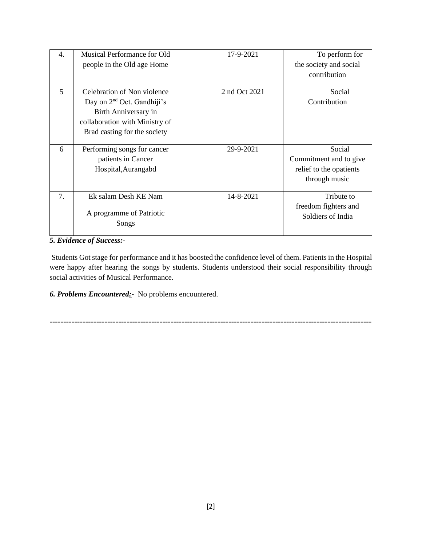| 4. | Musical Performance for Old            | 17-9-2021     | To perform for          |
|----|----------------------------------------|---------------|-------------------------|
|    | people in the Old age Home             |               | the society and social  |
|    |                                        |               | contribution            |
|    |                                        |               |                         |
| 5  | Celebration of Non violence            | 2 nd Oct 2021 | Social                  |
|    | Day on 2 <sup>nd</sup> Oct. Gandhiji's |               | Contribution            |
|    | Birth Anniversary in                   |               |                         |
|    | collaboration with Ministry of         |               |                         |
|    | Brad casting for the society           |               |                         |
|    |                                        |               |                         |
| 6  | Performing songs for cancer            | 29-9-2021     | Social                  |
|    | patients in Cancer                     |               | Commitment and to give  |
|    | Hospital, Aurangabd                    |               | relief to the opatients |
|    |                                        |               | through music           |
|    |                                        |               |                         |
| 7. | Ek salam Desh KE Nam                   | 14-8-2021     | Tribute to              |
|    |                                        |               | freedom fighters and    |
|    | A programme of Patriotic               |               | Soldiers of India       |
|    | Songs                                  |               |                         |
|    |                                        |               |                         |

#### *5. Evidence of Success:-*

Students Got stage for performance and it has boosted the confidence level of them. Patients in the Hospital were happy after hearing the songs by students. Students understood their social responsibility through social activities of Musical Performance.

*6. Problems Encountered:-* No problems encountered.

---------------------------------------------------------------------------------------------------------------------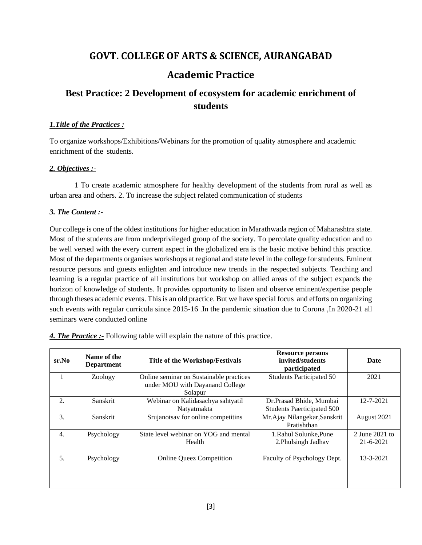## **GOVT. COLLEGE OF ARTS & SCIENCE, AURANGABAD**

### **Academic Practice**

# **Best Practice: 2 Development of ecosystem for academic enrichment of students**

### *1.Title of the Practices :*

To organize workshops/Exhibitions/Webinars for the promotion of quality atmosphere and academic enrichment of the students.

### *2. Objectives :-*

1 To create academic atmosphere for healthy development of the students from rural as well as urban area and others. 2. To increase the subject related communication of students

### *3. The Content :-*

Our college is one of the oldest institutions for higher education in Marathwada region of Maharashtra state. Most of the students are from underprivileged group of the society. To percolate quality education and to be well versed with the every current aspect in the globalized era is the basic motive behind this practice. Most of the departments organises workshops at regional and state level in the college for students. Eminent resource persons and guests enlighten and introduce new trends in the respected subjects. Teaching and learning is a regular practice of all institutions but workshop on allied areas of the subject expands the horizon of knowledge of students. It provides opportunity to listen and observe eminent/expertise people through theses academic events. This is an old practice. But we have special focus and efforts on organizing such events with regular curricula since 2015-16 .In the pandemic situation due to Corona ,In 2020-21 all seminars were conducted online

| $sr$ . No | Name of the<br><b>Department</b> | <b>Title of the Workshop/Festivals</b>                                                | <b>Resource persons</b><br>invited/students<br>participated | Date                              |
|-----------|----------------------------------|---------------------------------------------------------------------------------------|-------------------------------------------------------------|-----------------------------------|
|           | Zoology                          | Online seminar on Sustainable practices<br>under MOU with Dayanand College<br>Solapur | <b>Students Participated 50</b>                             | 2021                              |
| 2.        | Sanskrit                         | Webinar on Kalidasachya sahtyatil<br>Natyatmakta                                      | Dr.Prasad Bhide, Mumbai<br>Students Paerticipated 500       | 12-7-2021                         |
| 3.        | Sanskrit                         | Srujanotsav for online competitins                                                    | Mr.Ajay Nilangekar, Sanskrit<br>Pratishthan                 | August 2021                       |
| 4.        | Psychology                       | State level webinar on YOG and mental<br>Health                                       | 1. Rahul Solunke. Pune<br>2. Phulsingh Jadhav               | 2 June 2021 to<br>$21 - 6 - 2021$ |
| 5.        | Psychology                       | <b>Online Queez Competition</b>                                                       | Faculty of Psychology Dept.                                 | 13-3-2021                         |

*4. The Practice :-* Following table will explain the nature of this practice.